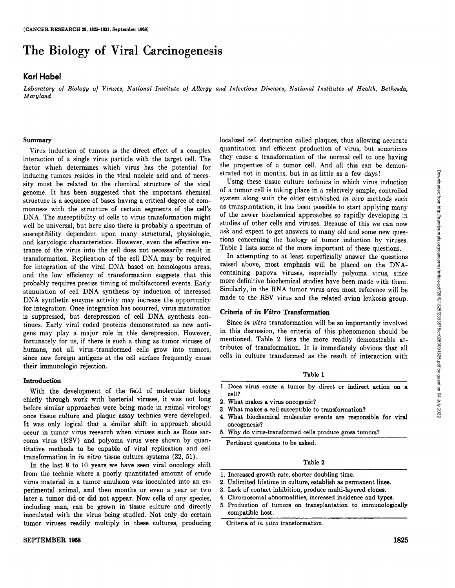# The Biology of Viral Carcinogenesis

# **Karl Habel**

Laboratory of Biology of Viruses, National Institute of Allergy and Infectious Diseases, National Institutes of Health, Bethesda, *Maryland*

## **Summary**

Virus induction of tumors is the direct effect of a complex interaction of a single virus particle with the target cell. The factor which determines which virus has the potential for inducing tumors resides in the viral nucleic acid and of neces sity must be related to the chemical structure of the viral genome. It has been suggested that the important chemical structure is a sequence of bases having a critical degree of com monness with the structure of certain segments of the cell's DNA. The susceptibility of cells to virus transformation might well be universal, but here also there is probably a spectrum of susceptibility dependent upon many structural, physiologic, and karyologic characteristics. However, even the effective en trance of the virus into the cell does not necessarily result in transformation. Replication of the cell DNA may be required for integration of the viral DNA based on homologous areas, and the low efficiency of transformation suggests that this probably requires precise timing of multifactored events. Early stimulation of cell DNA synthesis by induction of increased DNA synthetic enzyme activity may increase the opportunity for integration. Once integration has occurred, virus maturation is suppressed, but derepression of cell DNA synthesis con tinues. Early viral coded proteins demonstrated as new anti gens may play a major role in this derepression. However, fortunately for us, if there is such a thing as tumor viruses of humans, not all virus-transformed cells grow into tumors, since new foreign antigens at the cell surface frequently cause their immunologie rejection.

# **Introduction**

With the development of the field of molecular biology chiefly through work with bacterial viruses, it was not long before similar approaches were being made in animal virology once tissue culture and plaque assay technics were developed. It was only logical that a similar shift in approach should occur in tumor virus research when viruses such as Rous sar coma virus (RSV) and polyoma virus were shown by quan titative methods to be capable of viral replication and cell transformation in in vitro tissue culture systems (32, 51).

In the last 8 to 10 years we have seen viral oncology shift from the technic where a poorly quantitated amount of crude virus material in a tumor emulsion was inoculated into an ex perimental animal, and then months or even a year or two later a tumor did or did not appear. Now cells of any species, including man, can be grown in tissue culture and directly inoculated with the virus being studied. Not only do certain tumor viruses readily multiply in these cultures, producing localized cell destruction called plaques, thus allowing accurate quantitation and efficient production of virus, but sometimes they cause a transformation of the normal cell to one having the properties of a tumor cell. And all this can be demonstrated not in months, but in as little as a few days!

Using these tissue culture technics in which virus induction of a tumor cell is taking place in a relatively simple, controlled system along with the older established in vivo methods such as transplantation, it has been possible to start applying many of the newer biochemical approaches so rapidly developing in strated not in months, but in as little as a few days!<br>
Using these tissue culture technics in which virus induction<br>
of a tumor cell is taking place in a relatively simple, controlled<br>
system along with the older establi ask and expect to get answers to many old and some new questions concerning the biology of tumor induction by viruses. Table 1 lists some of the more important of these questions.

In attempting to at least superficially answer the questions raised above, most emphasis will be placed on the DNAcontaining papova viruses, especially polyoma virus, since more definitive biochemical studies have been made with them. Similarly, in the RNA tumor virus area most reference will be made to the RSV virus and the related avian leukosis group.

# **Criteria of in Vitro Transformation**

Since in vitro transformation will be so importantly involved in this discussion, the criteria of this phenomenon should be mentioned. Table 2 lists the more readily demonstrable at tributes of transformation. It is immediately obvious that all cells in culture transformed as the result of interaction with

#### **Table 1**

- 1. Does virus cause a tumor by direct or indirect action on a cell?
- 2. What makes a virus oncogenic?
- 3. What makes a cell susceptible to transformation?
- 4. What biochemical molecular events are responsible for viral oncogenesis?
- 5. Why do virus-transformed cells produce gross tumors?

Pertinent questions to be asked.

#### Table 2

- 1. Increased growth rate, shorter doubling time.
- 2. Unlimited lifetime in culture, establish as permanent lines.
- 3. Lack of contact inhibition, produce multi-layered clones.
- 4. Chromosomal abnormalities, increased incidence and types.
- 5. Production of tumors on transplantation to immunologically compatible host.

Criteria of in vitro transformation.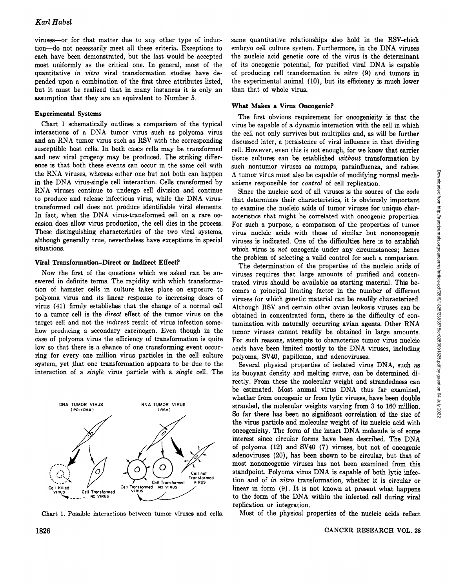viruses—or for that matter due to any other type of induc tion—donot necessarily meet all these criteria. Exceptions to each have been demonstrated, but the last would be accepted most uniformly as the critical one. In general, most of the quantitative in vitro viral transformation studies have de pended upon a combination of the first three attributes listed, but it must be realized that in many instances it is only an assumption that they are an equivalent to Number 5.

# **Experimental Systems**

Chart 1 schematically outlines a comparison of the typical interactions of a DNA tumor virus such as polyoma virus and an RNA tumor virus such as RSV with the corresponding susceptible host cells. In both cases cells may be transformed and new viral progeny may be produced. The striking differ ence is that both these events can occur in the same cell with the RNA viruses, whereas either one but not both can happen in the DNA virus-single cell interaction. Cells transformed by RNA viruses continue to undergo cell division and continue to produce and release infectious virus, while the DNA virustransformed cell does not produce identifiable viral elements. In fact, when the DNA virus-transformed cell on a rare oc casion does allow virus production, the cell dies in the process. These distinguishing characteristics of the two viral systems, although generally true, nevertheless have exceptions in special situations.

#### **Viral Transformation-Direct or Indirect Effect?**

Now the first of the questions which we asked can be an swered in definite terms. The rapidity with which transforma tion of hamster cells in culture takes place on exposure to polyoma virus and its linear response to increasing doses of virus (41) firmly establishes that the change of a normal cell to a tumor cell is the direct effect of the tumor virus on the target cell and not the indirect result of virus infection some how producing a secondary carcinogen. Even though in the case of polyoma virus the efficiency of transformation is quite low so that there is a chance of one transforming event occur ring for every one million virus particles in the cell culture system, yet that one transformation appears to be due to the interaction of a single virus particle with a single cell. The



Chart 1. Possible interactions between tumor viruses and cells.

same quantitative relationships also hold in the RSV-chick embryo cell culture system. Furthermore, in the DNA viruses the nucleic acid genetic core of the virus is the determinant of its oncogenic potential, for purified viral DNA is capable of producing cell transformation in vitro (9) and tumors in the experimental animal (10), but its efficiency is much lower than that of whole virus.

# **What Makes a Virus Oncogenic?**

The first obvious requirement for oncogenicity is that the virus be capable of a dynamic interaction with the cell in which the cell not only survives but multiplies and, as will be further discussed later, a persistence of viral influence in that dividing cell. However, even this is not enough, for we know that carrier tissue cultures can be established without transformation by such nontumor viruses as mumps, parainfluenza, and rabies. anisms responsible for control of cell replication.

Since the nucleic acid of all viruses is the source of the code that determines their characteristics, it is obviously important to examine the nucleic acids of tumor viruses for unique char acteristics that might be correlated with oncogenic properties. For such a purpose, a comparison of the properties of tumor virus nucleic acids with those of similar but nononcogenic viruses is indicated. One of the difficulties here is to establish which virus is not oncogenic under any circumstances; hence the problem of selecting a valid control for such a comparison.

A tumor virus must also be capable of modifying normal mechanism responsible for control of cell replication.<br>
Since the nucleic acid of all viruses is the source of the code that determines their characteristics, it is o The determination of the properties of the nucleic acids of viruses requires that large amounts of purified and concen trated virus should be available as starting material. This be comes a principal limiting factor in the number of different viruses for which genetic material can be readily characterized. Although RSV and certain other avian leukosis viruses can be obtained in concentrated form, there is the difficulty of con tamination with naturally occurring avian agents. Other RNA tumor viruses cannot readily be obtained in large amounts. For such reasons, attempts to characterize tumor virus nucleic acids have been limited mostly to the DNA viruses, including polyoma, SV40, papilloma, and adenoviruses.

Several physical properties of isolated virus DNA, such as its buoyant density and melting curve, can be determined di rectly. From these the molecular weight and strandedness can be estimated. Most animal virus DNA thus far examined, whether from oncogenic or from lytic viruses, have been double stranded, the molecular weights varying from 3 to 160 million. So far there has been no significant correlation of the size of the virus particle and molecular weight of its nucleic acid with oncogenicity. The form of the intact DNA molecule is of some interest since circular forms have been described. The DNA of polyoma (12) and SV40 (7) viruses, but not of oncogenic adenoviruses (20), has been shown to be circular, but that of most nononcogenic viruses has not been examined from this standpoint. Polyoma virus DNA is capable of both lytic infec tion and of in vitro transformation, whether it is circular or linear in form (9). It is not known at present what happens to the form of the DNA within the infected cell during viral replication or integration.

Most of the physical properties of the nucleic acids reflect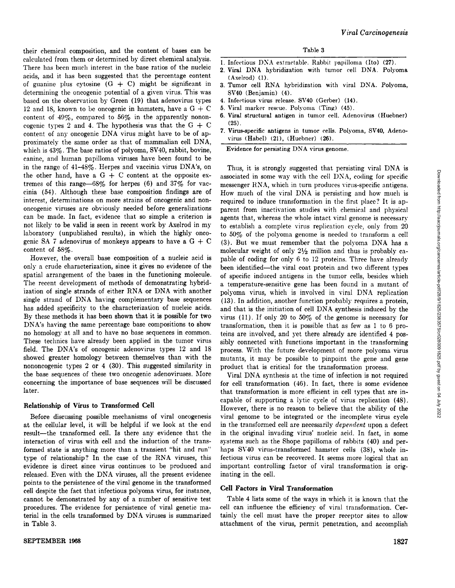their chemical composition, and the content of bases can be calculated from them or determined by direct chemical analysis. There has been much interest in the base ratios of the nucleic acids, and it has been suggested that the percentage content of guanine plus cytosine  $(G + C)$  might be significant in determining the oncogenic potential of a given virus. This was based on the observation by Green (19) that adenovirus types 12 and 18, known to be oncogenic in hamsters, have a  $G + C$ content of 49%, compared to 56% in the apparently nonon cogenic types 2 and 4. The hypothesis was that the  $G + C$ content of any oncogenic DNA virus might have to be of approximately the same order as that of mammalian cell DNA, which is 43%. The base ratios of polyoma, SV40, rabbit, bovine, canine, and human papilloma viruses have been found to be in the range of 41-48%. Herpes and vaccinia virus DNA's, on the other hand, have a  $G + C$  content at the opposite extremes of this range—68% for herpes (6) and  $37\%$  for vaccinia (54). Although these base composition findings are of interest, determinations on more strains of oncogenic and non oncogenic viruses are obviously needed before generalizations can be made. In fact, evidence that so simple a criterion is not likely to be valid is seen in recent work by Axelrod in my laboratory (unpublished results), in which the highly onco genic SA 7 adenovirus of monkeys appears to have a  $G + C$ content of 58%.

However, the overall base composition of a nucleic acid is only a crude characterization, since it gives no evidence of the spatial arrangement of the bases in the functioning molecule. The recent development of methods of demonstrating hybrid ization of single strands of either RNA or DNA with another single strand of DNA having complementary base sequences has added specificity to the characterization of nucleic acids. By these methods it has been shown that it is possible for two DNA's having the same percentage base compositions to show no homology at all and to have no base sequences in common. These technics have already been applied in the tumor virus field. The DNA's of oncogenic adenovirus types 12 and 18 showed greater homology between themselves than with the nononcogenic types 2 or 4 (30). This suggested similarity in the base sequences of these two oncogenic adenoviruses. More concerning the importance of base sequences will be discussed later.

## **Relationship of Virus to Transformed Cell**

Before discussing possible mechanisms of viral oncogenesis at the cellular level, it will be helpful if we look at the end result—the transformed cell. Is there any evidence that the interaction of virus with cell and the induction of the trans formed state is anything more than a transient "hit and run" type of relationship? In the case of the RNA viruses, this evidence is direct since virus continues to be produced and released. Even with the DNA viruses, all the present evidence points to the persistence of the viral genome in the transformed cell despite the fact that infectious polyoma virus, for instance, cannot be demonstrated by any of a number of sensitive test procedures. The evidence for persistence of viral genetic ma terial in the cells transformed by DNA viruses is summarized in Table 3.

- 1. Infectious DXA extractable. Rabbit papilloma (Ito) (27).
- 2. Viral DNA hybridization with tumor cell DNA. Polyoma (Axelrod) (1).
- 3. Tumor cell RNA hybridization with viral DNA. Polyoma, SV40 (Benjamin) (4).
- 4. Infectious virus release. SV40 (Gerber) (14).
- 5. Viral marker rescue. Polyoma (Ting) (45).
- 6. Viral structural antigen in tumor cell. Adenovirus (Huebner) (25).
- 7. Virus-specific antigens in tumor cells. Polyoma, SV40, Adeno virus (Habel) (21), (Huebner) (26).

Evidence for persisting DNA virus genome.

Thus, it is strongly suggested that persisting viral DNA is associated in some way with the cell DNA, coding for specific messenger RNA, which in turn produces virus-specific antigens. How much of the viral DNA is persisting and how much is required to induce transformation in the first place? It is ap parent from inactivation studies with chemical and physical agents that, whereas the whole intact viral genome is necessary **Example 19.** The virus replies that is the intervent form the product and hyndred or since the virus replection in the first place of the virus replective measure and hyndred to induce transformation in the first place? to 50% of the polyoma genome is needed to transform a cell (3). But we must remember that the polyoma DNA has a molecular weight of only  $2\frac{1}{2}$  million and thus is probably capable of coding for only 6 to 12 proteins. Three have already been identified—the viral coat protein and two different types of specific induced antigens in the tumor cells, besides which a temperature-sensitive gene has been found in a mutant of polyoma virus, which is involved in viral DNA replication (13). In addition, another function probably requires a protein, and that is the initiation of cell DNA synthesis induced by the virus (11). If only 20 to 50% of the genome is necessary for transformation, then it is possible that as few as 1 to 6 pro teins are involved, and yet there already are identified 4 pos sibly connected with functions important in the transforming process. With the future development of more polyoma virus mutants, it may be possible to pinpoint the gene and gene product that is critical for the transformation process.

Viral DNA synthesis at the time of infection is not required for cell transformation (46). In fact, there is some evidence that transformation is more efficient in cell types that are in capable of supporting a lytic cycle of virus replication (48). However, there is no reason to believe that the ability of the viral genome to be integrated or the incomplete virus cycle in the transformed cell are necessarily dependent upon a defect in the original invading virus' nucleic acid. In fact, in some systems such as the Shope papilloma of rabbits (40) and per haps SV40 virus-transformed hamster cells (38), whole in fectious virus can be recovered. It seems more logical that an important controlling factor of viral transformation is orig inating in the cell.

## **Cell Factors in Viral Transformation**

Table 4 lists some of the ways in which it is known that the cell can influence the efficiency of viral transformation. Cer tainly the cell must have the proper receptor sites to allow attachment of the virus, permit penetration, and accomplish Downloaded from http://aacrjournals.org/cancerres/article-pdf/28/9/1825/2383575/cr0280091825.pdf by guest on 04 July 2022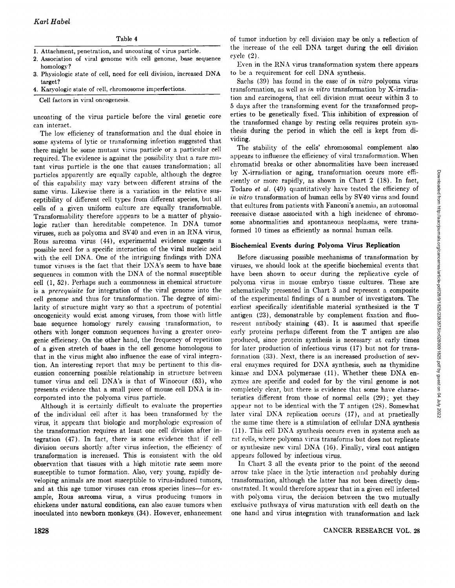# Table 4

- 1. Attachment, penetration, and uneoating of virus particle.
- 2. Association of viral genome with cell genome, base sequence homology?
- 3. Physiologic state of cell, need for cell division, increased DNA target?
- 4. Karyologic state of cell, chromosome imperfections.

Cell factors in viral oncogenesis.

uneoating of the virus particle before the viral genetic core can interact.

The low efficiency of transformation and the dual choice in  $\frac{\text{times}}{\text{using}}$ <br>me systems of lytic or transforming infection suggested that viding. some systems of lytic or transforming infection suggested that there might be some mutant virus particle or a particular cell required. The evidence is against the possibility that a rare mu tant virus particle is the one that causes transformation; all particles apparently are equally capable, although the degree of this capability may vary between different strains of the same virus. Likewise there is a variation in the relative sus ceptibility of different cell types from different species, but all cells of a given uniform culture are equally transformable. Transformability therefore appears to be a matter of physio logic rather than hereditable competence. In DNA tumor viruses, such as polyoma and SV40 and even in an RNA virus, Rous sarcoma virus (44), experimental evidence suggests a possible need for a specific interaction of the viral nucleic acid with the cell DNA. One of the intriguing findings with DNA tumor viruses is the fact that their DNA's seem to have base sequences in common with the DNA of the normal susceptible cell (1, 52). Perhaps such a commonness in chemical structure is a prerequisite for integration of the viral genome into the cell genome and thus for transformation. The degree of simi larity of structure might vary so that a spectrum of potential oncogenicity would exist among viruses, from those with little base sequence homology rarely causing transformation, to others with longer common sequences having a greater onco genic efficiency. On the other hand, the frequency of repetition of a given stretch of bases in the cell genome homologous to that in the virus might also influence the ease of viral integra tion. An interesting report that may be pertinent to this dis cussion concerning possible relationship in structure between tumor virus and cell DNA's is that of Winocour (53), who presents evidence that a small piece of mouse cell DNA is in corporated into the polyoma virus particle.

Although it is certainly difficult to evaluate the properties of the individual cell after it has been transformed by the virus, it appears that biologic and morphologic expression of the transformation requires at least one cell division after in tegration (47). In fact, there is some evidence that if cell division occurs shortly after virus infection, the efficiency of transformation is increased. This is consistent with the old observation that tissues with a high mitotic rate seem more susceptible to tumor formation. Also, very young, rapidly de veloping animals are most susceptible to virus-induced tumors, and at this age tumor viruses can cross species lines—for example, Rous sarcoma virus, a virus producing tumors in chickens under natural conditions, can also cause tumors when inoculated into newborn monkeys (34). However, enhancement

of tumor induction by cell division may be only a reflection of the increase of the cell DNA target during the cell division cycle (2).

Even in the RNA virus transformation system there appears to be a requirement for cell DNA synthesis.

Sachs (39) has found in the case of in vitro polyoma virus transformation, as well as in vitro transformation by X-irradiation and carcinogens, that cell division must occur within 3 to 5 days after the transforming event for the transformed prop erties to be genetically fixed. This inhibition of expression of the transformed change by resting cells requires protein syn thesis during the period in which the cell is kept from di

The stability of the cells' chromosomal complement also appears to influence the efficiency of viral transformation. When chromatic! breaks or other abnormalities have been increased by X-irradiation or aging, transformation occurs more effi ciently or more rapidly, as shown in Chart 2 (18). In fact, Todaro et al. (49) quantitatively have tested the efficiency of that cultures from patients with Fanconi's anemia, an autosomal recessive disease associated with a high incidence of chromo some abnormalities and spontaneous neoplasms, were trans formed 10 times as efficiently as normal human cells.

# Biochemical Events during Polyoma Virus Replication

by X-irradiation or aging, transformation cerars more effi-<br>circuly or more rapidly, as shown in Chart 2 (18). In fact,<br>Todaro *et al.* (49) quantitatively have tested the efficiency of<br>*in vitro* transformation of human Before discussing possible mechanisms of transformation by viruses, we should look at the specific biochemical events that have been shown to occur during the replicative cycle of polyoma virus in mouse embryo tissue cultures. These are schematically presented in Chart 3 and represent a composite of the experimental findings of a number of investigators. The earliest specifically identifiable material synthesized is the T antigen (23), demonstrable by complement fixation and fluo rescent antibody staining (43). It is assumed that specific early proteins perhaps different from the T antigen are also produced, since protein synthesis is necessary at early times for later production of infectious virus (17) but not for trans formation (33). Next, there is an increased production of sev eral enzymes required for DNA synthesis, such as thymidine kinase and DNA polymerase (11). Whether these DNA en zymes are specific and coded for by the viral genome is not completely clear, but there is evidence that some have charac teristics different from those of normal cells (29) ; yet they appear not to be identical with the T antigen (28). Somewhat later viral DNA replication occurs (17), and at practically the same time there is a stimulation of cellular DNA synthesis (11). This cell DNA synthesis occurs even in systems such as rat cells, where polyoma virus transforms but does not replicate or synthesize new viral DNA (16). Finally, viral coat antigen appears followed by infectious virus.

In Chart 3 all the events prior to the point of the second arrow take place in the lytie interaction and probably during transformation, although the latter has not been directly dem onstrated. It would therefore appear that in a given cell infected with polyoma virus, the decision between the two mutually exclusive pathways of virus maturation with cell death on the one hand and virus integration with transformation and lack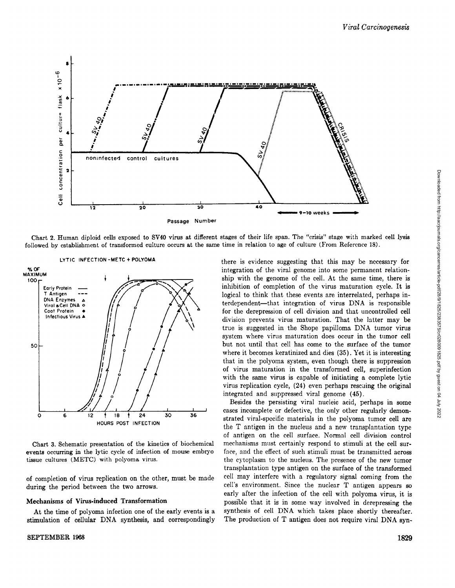

Chart 2. Human diploid cells exposed to SV40 virus at different stages of their life span. The "crisis" stage with marked cell lysis followed by establishment of transformed culture occurs at the same time in relation to age of culture (From Reference 18).



LYTIC INFECTION -METC + POLYOMA

Chart 3. Schematic presentation of the kinetics of biochemical events occurring in the lytic cycle of infection of mouse embryo tissue cultures (METC) with polyoma virus.

of completion of virus replication on the other, must be made during the period between the two arrows.

#### Mechanisms of Virus-induced Transformation

At the time of polyoma infection one of the early events is a stimulation of cellular DNA synthesis, and correspondingly there is evidence suggesting that this may be necessary for integration of the viral genome into some permanent relation ship with the genome of the cell. At the same time, there is inhibition of completion of the virus maturation cycle. It is logical to think that these events are interrelated, perhaps in terdependent—that integration of virus DNA is responsible for the derepression of cell division and that uncontrolled cell division prevents virus maturation. That the latter may be true is suggested in the Shope papilloma DNA tumor virus system where virus maturation does occur in the tumor cell but not until that cell has come to the surface of the tumor where it becomes keratinized and dies (35). Yet it is interesting that in the polyoma system, even though there is suppression of virus maturation in the transformed cell, superinfection with the same virus is capable of initiating a complete lytic virus replication cycle, (24) even perhaps rescuing the original integrated and suppressed viral genome (45).

Besides the persisting viral nucleic acid, perhaps in some cases incomplete or defective, the only other regularly demon strated viral-specific materials in the polyoma tumor cell are the T antigen in the nucleus and a new transplantation type of antigen on the cell surface. Normal cell division control mechanisms must certainly respond to stimuli at the cell sur face, and the effect of such stimuli must be transmitted across the cytoplasm to the nucleus. The presence of the new tumor transplantation type antigen on the surface of the transformed cell may interfere with a regulatory signal coming from the cell's environment. Since the nuclear T antigen appears so early after the infection of the cell with polyoma virus, it is possible that it is in some way involved in derepressing the synthesis of cell DNA which takes place shortly thereafter. The production of T antigen does not require viral DNA syn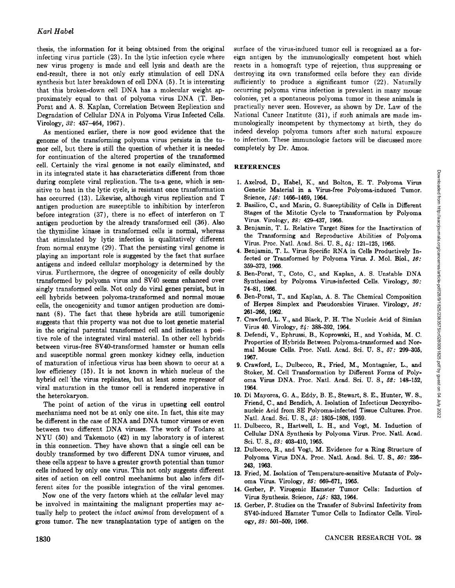thesis, the information for it being obtained from the original infecting virus particle (23). In the lytic infection cycle where new virus progeny is made and cell lysis and death are the end-result, there is not only early stimulation of cell DNA synthesis but later breakdown of cell DNA (5). It is interesting that this broken-down cell DNA has a molecular weight ap proximately equal to that of polyoma virus DNA (T. Ben-Porat and A. S. Kaplan, Correlation Between Replication and Degradation of Cellular DNA in Polyoma Virus Infected Cells. Virology, 32: 457-464, 1967).

As mentioned earlier, there is now good evidence that the genome of the transforming polyoma virus persists in the tu mor cell, but there is still the question of whether it is needed for continuation of the altered properties of the transformed cell. Certainly the viral genome is not easily eliminated, and in its integrated state it has characteristics different from those during complete viral replication. The ts-a gene, which is sensitive to heat in the lytic cycle, is resistant once transformation has occurred (13). Likewise, although virus replication and T antigen production are susceptible to inhibition by interferon before integration (37), there is no effect of interferon on T antigen production by the already transformed cell (36). Also the thymidine kinase in transformed cells is normal, whereas that stimulated by lytic infection is qualitatively different from normal enzyme (29). That the persisting viral genome is playing an important role is suggested by the fact that surface antigens and indeed cellular morphology is determined by the virus. Furthermore, the degree of oncogenicity of cells doubly transformed by polyoma virus and SV40 seems enhanced over singly transformed cells. Not only do viral genes persist, but in cell hybrids between polyoma-transformed and normal mouse cells, the oncogenicity and tumor antigen production are domi nant (8). The fact that these hybrids are still tumorigenic suggests that this property was not due to lost genetic material in the original parental transformed cell and indicates a posi tive role of the integrated viral material. In other cell hybrids between virus-free SV40-transformed hamster or human cells and susceptible normal green monkey kidney cells, induction of maturation of infectious virus has been shown to occur at a low efficiency (15). It is not known in which nucleus of the hybrid cell the virus replicates, but at least some repressor of viral maturation in the tumor cell is rendered inoperative in the heterokaryon.

The point of action of the virus in upsetting cell control mechanisms need not be at only one site. In fact, this site may be different in the case of RNA and DNA tumor viruses or even between two different DNA viruses. The work of Todaro at NYU (50) and Takemoto (42) in my laboratory is of interest in this connection. They have shown that a single cell can be doubly transformed by two different DNA tumor viruses, and these cells appear to have a greater growth potential than tumor cells induced by only one virus. This not only suggests different sites of action on cell control mechanisms but also infers dif ferent sites for the possible integration of the viral genomes.

Now one of the very factors which at the *cellular* level may be involved in maintaining the malignant properties may ac tually help to protect the intact animal from development of a gross tumor. The new transplantation type of antigen on the surface of the virus-induced tumor cell is recognized as a for eign antigen by the immunologically competent host which reacts in a homograft type of rejection, thus suppressing or destroying its own transformed cells before they can divide sufficiently to produce a significant tumor (22). Naturally occurring polyoma virus infection is prevalent in many mouse colonies, yet a spontaneous polyoma tumor in these animals is practically never seen. However, as shown by Dr.Law of the National Cancer Institute (31), if such animals are made im munologically incompetent by thymectomy at birth, they do indeed develop polyoma tumors after such natural exposure to infection. These immunologie factors will be discussed more completely by Dr. Amos.

# **REFERENCES**

- Genetic Material in a Virus-free Polyoma-induced Tumor. Science, 146: 1466-1469, 1964.
- 2. Basilico, C., and Marin, G. Susceptibility of Cells in Different Stages of the Mitotic Cycle to Transformation by Polyoma Virus. Virology, 28: 429-437, 1966.
- 3. Benjamin, T. L. Relative Target Sizes for the Inactivation of the Transforming and Reproductive Abilities of Polyoma Virus. Proc. Nati. Acad. Sei. U. S., 54: 121-125, 1965.
- 4. Benjamin, T. L. Virus Specific RNA in Cells Productively In fected or Transformed by Polyoma Virus. J. Mol. Biol., 16: 359-373, 1966.
- 5. Ben-Porat, T., Coto, C., and Kaplan, A. S. Unstable DNA Synthesized by Polyoma Virus-infected Cells. Virology, 30: 74-81, 1966.
- 6. Ben-Porat, T., and Kaplan, A. S. The Chemical Composition of Herpes Simplex and Pseudorabies Viruses. Virology, 16: 261-266, 1962.
- 7. Crawford, L. V., and Black, P. H. The Nucleic Acid of Simian Virus 40. Virology, 24: 388-392, 1964.
- 1. Axelrod, D., Habel, K., and Bolton, E. T. Polyoma Virus<br>
Genetic Material in a Virus-free Polyoma-induced Tumor.<br>
Science,  $1/6$ : 1466-1469, 1964.<br>
2. Basitco, C., and Marin, G. Susceptibility of Cells in Different Sta 8. Defendi, V., Ephrussi, B., Koprowski, H., and Yoshida, M. C. Properties of Hybrids Between Polyoma-transformed and Nor mal Mouse Cells. Proc. Nati. Acad. Sei. U. S., 67: 299-305, 1967.
- 9. Crawford, L., Dulbecco, R., Fried, M., Montagnier, L., and Stoker, M. Cell Transformation by Different Forms of Poly oma Virus DNA. Proc. Nati. Acad. Sei. U. S., 52: 148-152, 1964.
- 10. Di Mayorca, G. A., Eddy, B. E., Stewart, S. E., Hunter, W. S., Friend, C., and Bendich, A. Isolation of Infectious Deoxyribonucleic Acid from SE Polyoma-infected Tissue Cultures. Proc. Nati. Acad. Sei. U. S., 45: 1805-1808, 1959.
- 11. Dulbecco, R., Hartwell, L. H., and Vogt, M. Induction of Cellular DNA Synthesis by Polyoma Virus. Proc. Nati. Acad. Sei. U. S., 53: 403-410, 1965.
- 12. Dulbecco, R., and Vogt, M. Evidence for a Ring Structure of Polyoma Virus DNA. Proc. Nati. Acad. Sei. U. S., 60: 236- 243, 1963.
- 13. Fried, M. Isolation of Temperature-sensitive Mutants of Poly oma Virus. Virology, 25: 669-671, 1965.
- 14. Gerber, P. Virogenic Hamster Tumor Cells: Induction of Virus Synthesis. Science, 145: 833, 1964.
- 15. Gerber, P. Studies on the Transfer of Subviral Infectivity from SV40-induced Hamster Tumor Cells to Indicator Cells. Virol ogy, 2S: 501-509, 1966.